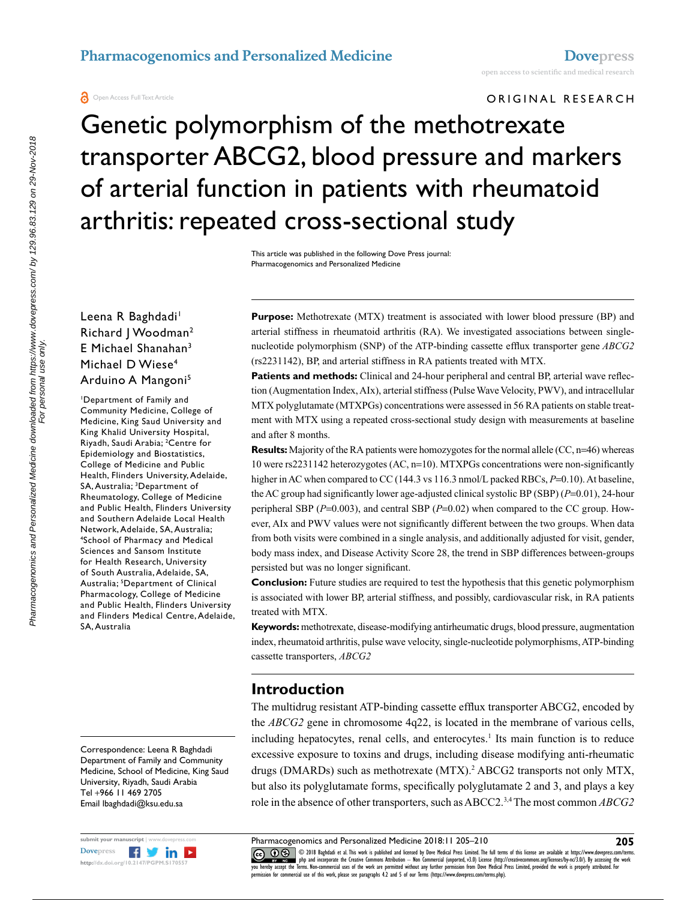**O** Open Access Full Text Article

#### ORIGINAL RESEARCH

Genetic polymorphism of the methotrexate transporter ABCG2, blood pressure and markers of arterial function in patients with rheumatoid arthritis: repeated cross-sectional study

> This article was published in the following Dove Press journal: Pharmacogenomics and Personalized Medicine

## Leena R Baghdadi<sup>1</sup> Richard | Woodman<sup>2</sup> E Michael Shanahan3 Michael D Wiese<sup>4</sup> Arduino A Mangoni<sup>5</sup>

1 Department of Family and Community Medicine, College of Medicine, King Saud University and King Khalid University Hospital, Riyadh, Saudi Arabia; 2 Centre for Epidemiology and Biostatistics, College of Medicine and Public Health, Flinders University, Adelaide, SA, Australia; 3 Department of Rheumatology, College of Medicine and Public Health, Flinders University and Southern Adelaide Local Health Network, Adelaide, SA, Australia; 4 <sup>4</sup>School of Pharmacy and Medical Sciences and Sansom Institute for Health Research, University of South Australia, Adelaide, SA, Australia; 5 Department of Clinical Pharmacology, College of Medicine and Public Health, Flinders University and Flinders Medical Centre, Adelaide, SA, Australia

Correspondence: Leena R Baghdadi Department of Family and Community Medicine, School of Medicine, King Saud University, Riyadh, Saudi Arabia Tel +966 11 469 2705 Email [lbaghdadi@ksu.edu.sa](mailto:lbaghdadi@ksu.edu.sa)



**Purpose:** Methotrexate (MTX) treatment is associated with lower blood pressure (BP) and arterial stiffness in rheumatoid arthritis (RA). We investigated associations between singlenucleotide polymorphism (SNP) of the ATP-binding cassette efflux transporter gene *ABCG2* (rs2231142), BP, and arterial stiffness in RA patients treated with MTX.

**Patients and methods:** Clinical and 24-hour peripheral and central BP, arterial wave reflection (Augmentation Index, AIx), arterial stiffness (Pulse Wave Velocity, PWV), and intracellular MTX polyglutamate (MTXPGs) concentrations were assessed in 56 RA patients on stable treatment with MTX using a repeated cross-sectional study design with measurements at baseline and after 8 months.

**Results:** Majority of the RA patients were homozygotes for the normal allele (CC, n=46) whereas 10 were rs2231142 heterozygotes (AC, n=10). MTXPGs concentrations were non-significantly higher in AC when compared to CC (144.3 vs 116.3 nmol/L packed RBCs,  $P=0.10$ ). At baseline, the AC group had significantly lower age-adjusted clinical systolic BP (SBP) (*P*=0.01), 24-hour peripheral SBP (*P*=0.003), and central SBP (*P*=0.02) when compared to the CC group. However, AIx and PWV values were not significantly different between the two groups. When data from both visits were combined in a single analysis, and additionally adjusted for visit, gender, body mass index, and Disease Activity Score 28, the trend in SBP differences between-groups persisted but was no longer significant.

**Conclusion:** Future studies are required to test the hypothesis that this genetic polymorphism is associated with lower BP, arterial stiffness, and possibly, cardiovascular risk, in RA patients treated with MTX.

**Keywords:** methotrexate, disease-modifying antirheumatic drugs, blood pressure, augmentation index, rheumatoid arthritis, pulse wave velocity, single-nucleotide polymorphisms, ATP-binding cassette transporters, *ABCG2*

# **Introduction**

The multidrug resistant ATP-binding cassette efflux transporter ABCG2, encoded by the *ABCG2* gene in chromosome 4q22, is located in the membrane of various cells, including hepatocytes, renal cells, and enterocytes.<sup>1</sup> Its main function is to reduce excessive exposure to toxins and drugs, including disease modifying anti-rheumatic drugs (DMARDs) such as methotrexate (MTX).<sup>2</sup> ABCG2 transports not only MTX, but also its polyglutamate forms, specifically polyglutamate 2 and 3, and plays a key role in the absence of other transporters, such as ABCC2.3,4 The most common *ABCG2*

CO ODI8 Bagbdadi et al. This work is published and licensed by Dove Medical Press Limited. The full terms of this license are available at https://www.dovepress.com/terms.<br>You hereby accept the Terms and comprente the Crea

permission for commercial use of this work, please see paragraphs 4.2 and 5 of our Terms (https://www.dovepress.com/terms.php).

Pharmacogenomics and Personalized Medicine downloaded from https://www.dovepress.com/ by 129.96.83.129 on 29-Nov-2018<br>For personal for personalized Medicine downloaded from https://www.dovepress.com/ by 129.96.83.129 on 29 Pharmacogenomics and Personalized Medicine downloaded from https://www.dovepress.com/ by 129.96.83.129 on 29-Nov-2018 For personal use only.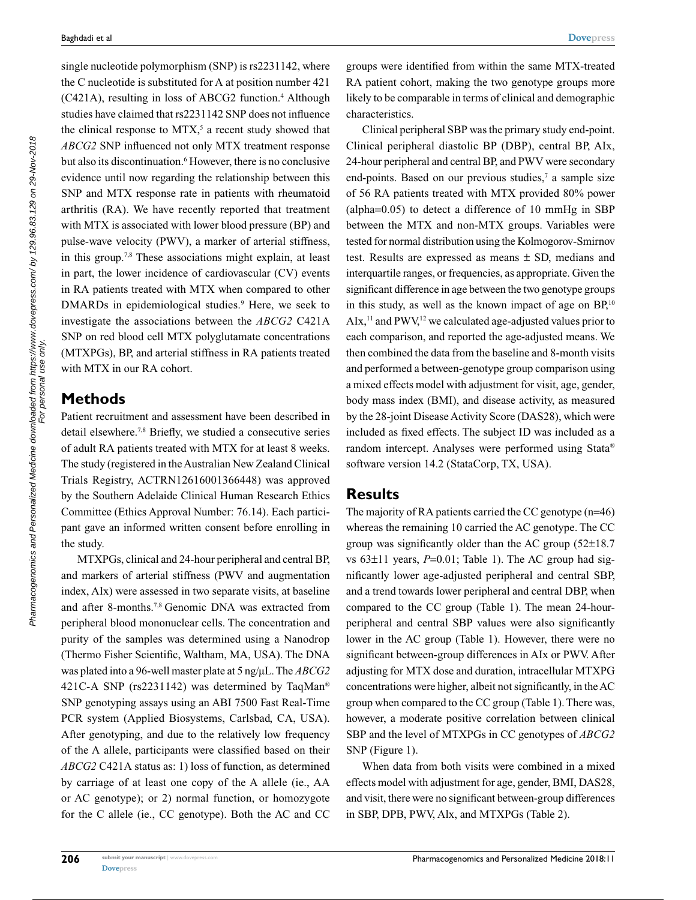single nucleotide polymorphism (SNP) is rs2231142, where the C nucleotide is substituted for A at position number 421 (C421A), resulting in loss of ABCG2 function.<sup>4</sup> Although studies have claimed that rs2231142 SNP does not influence the clinical response to  $MTX$ ,<sup>5</sup> a recent study showed that *ABCG2* SNP influenced not only MTX treatment response but also its discontinuation.<sup>6</sup> However, there is no conclusive evidence until now regarding the relationship between this SNP and MTX response rate in patients with rheumatoid arthritis (RA). We have recently reported that treatment with MTX is associated with lower blood pressure (BP) and pulse-wave velocity (PWV), a marker of arterial stiffness, in this group.7,8 These associations might explain, at least in part, the lower incidence of cardiovascular (CV) events in RA patients treated with MTX when compared to other DMARDs in epidemiological studies.<sup>9</sup> Here, we seek to investigate the associations between the *ABCG2* C421A SNP on red blood cell MTX polyglutamate concentrations (MTXPGs), BP, and arterial stiffness in RA patients treated with MTX in our RA cohort.

## **Methods**

Patient recruitment and assessment have been described in detail elsewhere.<sup>7,8</sup> Briefly, we studied a consecutive series of adult RA patients treated with MTX for at least 8 weeks. The study (registered in the Australian New Zealand Clinical Trials Registry, ACTRN12616001366448) was approved by the Southern Adelaide Clinical Human Research Ethics Committee (Ethics Approval Number: 76.14). Each participant gave an informed written consent before enrolling in the study.

MTXPGs, clinical and 24-hour peripheral and central BP, and markers of arterial stiffness (PWV and augmentation index, AIx) were assessed in two separate visits, at baseline and after 8-months.7,8 Genomic DNA was extracted from peripheral blood mononuclear cells. The concentration and purity of the samples was determined using a Nanodrop (Thermo Fisher Scientific, Waltham, MA, USA). The DNA was plated into a 96-well master plate at 5 ng/µL. The *ABCG2* 421C-A SNP (rs2231142) was determined by TaqMan® SNP genotyping assays using an ABI 7500 Fast Real-Time PCR system (Applied Biosystems, Carlsbad, CA, USA). After genotyping, and due to the relatively low frequency of the A allele, participants were classified based on their *ABCG2* C421A status as: 1) loss of function, as determined by carriage of at least one copy of the A allele (ie., AA or AC genotype); or 2) normal function, or homozygote for the C allele (ie., CC genotype). Both the AC and CC groups were identified from within the same MTX-treated RA patient cohort, making the two genotype groups more likely to be comparable in terms of clinical and demographic characteristics.

Clinical peripheral SBP was the primary study end-point. Clinical peripheral diastolic BP (DBP), central BP, AIx, 24-hour peripheral and central BP, and PWV were secondary end-points. Based on our previous studies,<sup>7</sup> a sample size of 56 RA patients treated with MTX provided 80% power (alpha=0.05) to detect a difference of 10 mmHg in SBP between the MTX and non-MTX groups. Variables were tested for normal distribution using the Kolmogorov-Smirnov test. Results are expressed as means ± SD, medians and interquartile ranges, or frequencies, as appropriate. Given the significant difference in age between the two genotype groups in this study, as well as the known impact of age on  $BP<sub>i</sub><sup>10</sup>$  $AIx$ ,<sup>11</sup> and PWV,<sup>12</sup> we calculated age-adjusted values prior to each comparison, and reported the age-adjusted means. We then combined the data from the baseline and 8-month visits and performed a between-genotype group comparison using a mixed effects model with adjustment for visit, age, gender, body mass index (BMI), and disease activity, as measured by the 28-joint Disease Activity Score (DAS28), which were included as fixed effects. The subject ID was included as a random intercept. Analyses were performed using Stata® software version 14.2 (StataCorp, TX, USA).

## **Results**

The majority of RA patients carried the CC genotype (n=46) whereas the remaining 10 carried the AC genotype. The CC group was significantly older than the AC group (52±18.7 vs  $63\pm11$  years,  $P=0.01$ ; Table 1). The AC group had significantly lower age-adjusted peripheral and central SBP, and a trend towards lower peripheral and central DBP, when compared to the CC group (Table 1). The mean 24-hourperipheral and central SBP values were also significantly lower in the AC group (Table 1). However, there were no significant between-group differences in AIx or PWV. After adjusting for MTX dose and duration, intracellular MTXPG concentrations were higher, albeit not significantly, in the AC group when compared to the CC group (Table 1). There was, however, a moderate positive correlation between clinical SBP and the level of MTXPGs in CC genotypes of *ABCG2* SNP (Figure 1).

When data from both visits were combined in a mixed effects model with adjustment for age, gender, BMI, DAS28, and visit, there were no significant between-group differences in SBP, DPB, PWV, Alx, and MTXPGs (Table 2).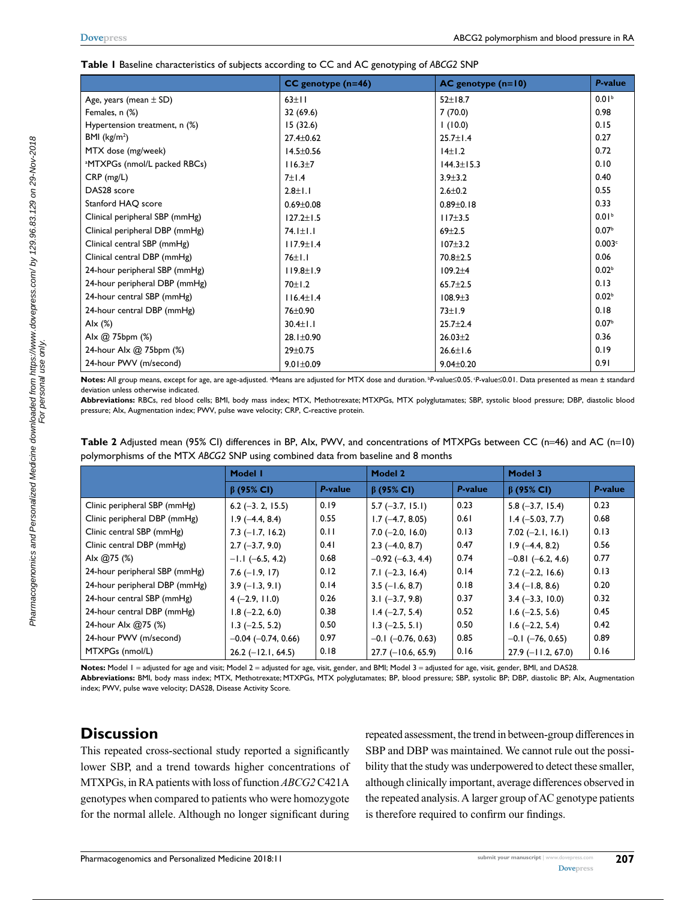#### **Table 1** Baseline characteristics of subjects according to CC and AC genotyping of *ABCG2* SNP

|                                          | $CC$ genotype ( $n=46$ ) | $AC$ genotype $(n=10)$ | <b>P-value</b>    |
|------------------------------------------|--------------------------|------------------------|-------------------|
| Age, years (mean $\pm$ SD)               | $63 \pm 11$              | $52 \pm 18.7$          | 0.01 <sup>b</sup> |
| Females, n (%)                           | 32 (69.6)                | 7(70.0)                | 0.98              |
| Hypertension treatment, n (%)            | 15(32.6)                 | (10.0)                 | 0.15              |
| BMI $(kg/m2)$                            | $27.4 \pm 0.62$          | $25.7 \pm 1.4$         | 0.27              |
| MTX dose (mg/week)                       | $14.5 \pm 0.56$          | 14±1.2                 | 0.72              |
| <sup>a</sup> MTXPGs (nmol/L packed RBCs) | 116.3±7                  | $144.3 \pm 15.3$       | 0.10              |
| $CRP$ (mg/L)                             | $7\pm1.4$                | $3.9 + 3.2$            | 0.40              |
| DAS28 score                              | $2.8 \pm 1.1$            | $2.6 \pm 0.2$          | 0.55              |
| Stanford HAQ score                       | $0.69 \pm 0.08$          | $0.89 + 0.18$          | 0.33              |
| Clinical peripheral SBP (mmHg)           | $127.2 \pm 1.5$          | $117 + 3.5$            | 0.01 <sup>b</sup> |
| Clinical peripheral DBP (mmHg)           | $74.1 \pm 1.1$           | $69 + 2.5$             | 0.07 <sup>b</sup> |
| Clinical central SBP (mmHg)              | $117.9 \pm 1.4$          | $107 + 3.2$            | 0.003c            |
| Clinical central DBP (mmHg)              | $76 \pm 1.1$             | $70.8 + 2.5$           | 0.06              |
| 24-hour peripheral SBP (mmHg)            | $119.8 \pm 1.9$          | $109.2 + 4$            | 0.02 <sup>b</sup> |
| 24-hour peripheral DBP (mmHg)            | $70 + 1.2$               | $65.7 \pm 2.5$         | 0.13              |
| 24-hour central SBP (mmHg)               | $116.4 \pm 1.4$          | $108.9 + 3$            | 0.02 <sup>b</sup> |
| 24-hour central DBP (mmHg)               | 76±0.90                  | $73 \pm 1.9$           | 0.18              |
| Alx $(%)$                                | $30.4 \pm 1.1$           | $25.7 \pm 2.4$         | 0.07 <sup>b</sup> |
| Alx @ 75bpm (%)                          | $28.1 \pm 0.90$          | $26.03 \pm 2$          | 0.36              |
| 24-hour Alx @ 75bpm (%)                  | $29 \pm 0.75$            | $26.6 \pm 1.6$         | 0.19              |
| 24-hour PWV (m/second)                   | $9.01 \pm 0.09$          | $9.04 \pm 0.20$        | 0.91              |

Notes: All group means, except for age, are age-adjusted. <sup>a</sup>Means are adjusted for MTX dose and duration. <sup>b</sup>P-value≤0.05. <sup>c</sup>P-value≤0.01. Data presented as mean ± standard deviation unless otherwise indicated.

**Abbreviations:** RBCs, red blood cells; BMI, body mass index; MTX, Methotrexate; MTXPGs, MTX polyglutamates; SBP, systolic blood pressure; DBP, diastolic blood pressure; AIx, Augmentation index; PWV, pulse wave velocity; CRP, C-reactive protein.

|                               | Model I                   |         | <b>Model 2</b>           |         | Model 3                |         |
|-------------------------------|---------------------------|---------|--------------------------|---------|------------------------|---------|
|                               | $\beta$ (95% CI)          | P-value | $\beta$ (95% CI)         | P-value | $\beta$ (95% CI)       | P-value |
| Clinic peripheral SBP (mmHg)  | $6.2$ (-3. 2, 15.5)       | 0.19    | $5.7$ (-3.7, 15.1)       | 0.23    | $5.8(-3.7, 15.4)$      | 0.23    |
| Clinic peripheral DBP (mmHg)  | $1.9(-4.4, 8.4)$          | 0.55    | $1.7(-4.7, 8.05)$        | 0.61    | $1.4 (-5.03, 7.7)$     | 0.68    |
| Clinic central SBP (mmHg)     | $7.3$ ( $-1.7$ , 16.2)    | 0.11    | $7.0$ (-2.0, 16.0)       | 0.13    | $7.02 (-2.1, 16.1)$    | 0.13    |
| Clinic central DBP (mmHg)     | $2.7(-3.7, 9.0)$          | 0.41    | $2.3$ (-4.0, 8.7)        | 0.47    | $1.9(-4.4, 8.2)$       | 0.56    |
| Alx $@75$ (%)                 | $-1.1$ (-6.5, 4.2)        | 0.68    | $-0.92$ (-6.3, 4.4)      | 0.74    | $-0.81$ $(-6.2, 4.6)$  | 0.77    |
| 24-hour peripheral SBP (mmHg) | $7.6(-1.9, 17)$           | 0.12    | $7.1 (-2.3, 16.4)$       | 0.14    | $7.2$ (-2.2, 16.6)     | 0.13    |
| 24-hour peripheral DBP (mmHg) | $3.9(-1.3, 9.1)$          | 0.14    | $3.5$ (-1.6, 8.7)        | 0.18    | $3.4$ (-1.8, 8.6)      | 0.20    |
| 24-hour central SBP (mmHg)    | $4(-2.9, 11.0)$           | 0.26    | $3.1 (-3.7, 9.8)$        | 0.37    | $3.4 (-3.3, 10.0)$     | 0.32    |
| 24-hour central DBP (mmHg)    | $1.8$ (-2.2, 6.0)         | 0.38    | $1.4 (-2.7, 5.4)$        | 0.52    | $1.6$ (-2.5, 5.6)      | 0.45    |
| 24-hour Alx @75 (%)           | $1.3$ (-2.5, 5.2)         | 0.50    | $1.3$ (-2.5, 5.1)        | 0.50    | $1.6$ (-2.2, 5.4)      | 0.42    |
| 24-hour PWV (m/second)        | $-0.04$ ( $-0.74$ , 0.66) | 0.97    | $-0.1$ ( $-0.76$ , 0.63) | 0.85    | $-0.1$ ( $-76, 0.65$ ) | 0.89    |
| MTXPGs (nmol/L)               | $26.2$ (-12.1, 64.5)      | 0.18    | $27.7$ (-10.6, 65.9)     | 0.16    | $27.9$ (-11.2, 67.0)   | 0.16    |

| Table 2 Adjusted mean (95% CI) differences in BP, Alx, PWV, and concentrations of MTXPGs between CC (n=46) and AC (n=10) |
|--------------------------------------------------------------------------------------------------------------------------|
| polymorphisms of the MTX ABCG2 SNP using combined data from baseline and 8 months                                        |

Notes: Model 1 = adjusted for age and visit; Model 2 = adjusted for age, visit, gender, and BMI; Model 3 = adjusted for age, visit, gender, BMI, and DAS28. **Abbreviations:** BMI, body mass index; MTX, Methotrexate; MTXPGs, MTX polyglutamates; BP, blood pressure; SBP, systolic BP; DBP, diastolic BP; AIx, Augmentation index; PWV, pulse wave velocity; DAS28, Disease Activity Score.

# **Discussion**

This repeated cross-sectional study reported a significantly lower SBP, and a trend towards higher concentrations of MTXPGs, in RA patients with loss of function *ABCG2* C421A genotypes when compared to patients who were homozygote for the normal allele. Although no longer significant during

repeated assessment, the trend in between-group differences in SBP and DBP was maintained. We cannot rule out the possibility that the study was underpowered to detect these smaller, although clinically important, average differences observed in the repeated analysis. A larger group of AC genotype patients is therefore required to confirm our findings.

For personal use only.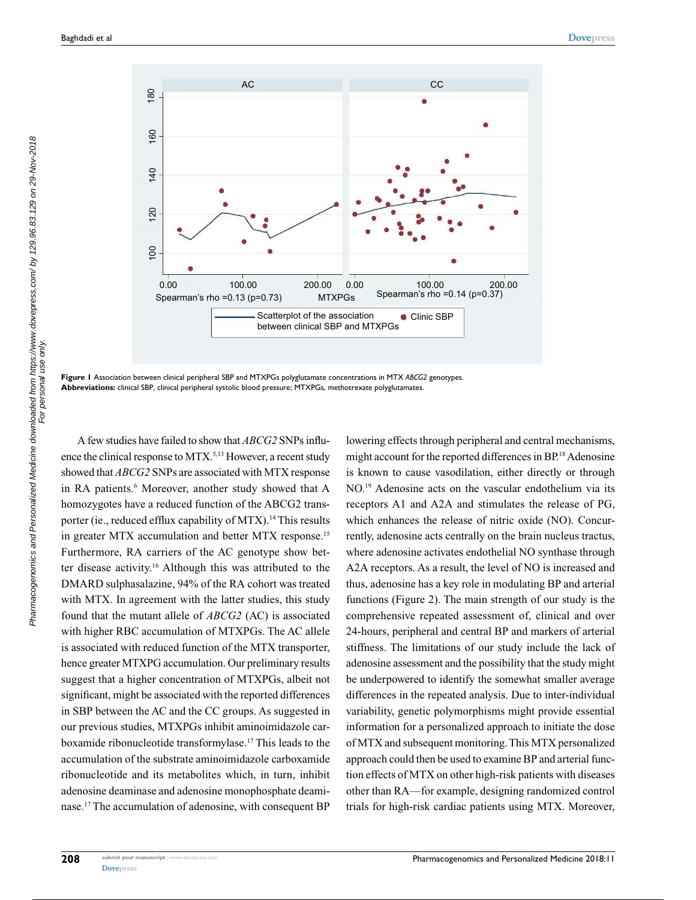

**Figure 1** Association between clinical peripheral SBP and MTXPGs polyglutamate concentrations in MTX *ABCG2* genotypes. **Abbreviations:** clinical SBP, clinical peripheral systolic blood pressure; MTXPGs, methotrexate polyglutamates.

A few studies have failed to show that *ABCG2* SNPs influence the clinical response to MTX.<sup>5,13</sup> However, a recent study showed that *ABCG2* SNPs are associated with MTX response in RA patients.<sup>6</sup> Moreover, another study showed that A homozygotes have a reduced function of the ABCG2 transporter (ie., reduced efflux capability of MTX).<sup>14</sup> This results in greater MTX accumulation and better MTX response.<sup>15</sup> Furthermore, RA carriers of the AC genotype show better disease activity.16 Although this was attributed to the DMARD sulphasalazine, 94% of the RA cohort was treated with MTX. In agreement with the latter studies, this study found that the mutant allele of *ABCG2* (AC) is associated with higher RBC accumulation of MTXPGs. The AC allele is associated with reduced function of the MTX transporter, hence greater MTXPG accumulation. Our preliminary results suggest that a higher concentration of MTXPGs, albeit not significant, might be associated with the reported differences in SBP between the AC and the CC groups. As suggested in our previous studies, MTXPGs inhibit aminoimidazole carboxamide ribonucleotide transformylase.17 This leads to the accumulation of the substrate aminoimidazole carboxamide ribonucleotide and its metabolites which, in turn, inhibit adenosine deaminase and adenosine monophosphate deaminase.17 The accumulation of adenosine, with consequent BP

lowering effects through peripheral and central mechanisms, might account for the reported differences in BP.18 Adenosine is known to cause vasodilation, either directly or through NO.19 Adenosine acts on the vascular endothelium via its receptors A1 and A2A and stimulates the release of PG, which enhances the release of nitric oxide (NO). Concurrently, adenosine acts centrally on the brain nucleus tractus, where adenosine activates endothelial NO synthase through A2A receptors. As a result, the level of NO is increased and thus, adenosine has a key role in modulating BP and arterial functions (Figure 2). The main strength of our study is the comprehensive repeated assessment of, clinical and over 24-hours, peripheral and central BP and markers of arterial stiffness. The limitations of our study include the lack of adenosine assessment and the possibility that the study might be underpowered to identify the somewhat smaller average differences in the repeated analysis. Due to inter-individual variability, genetic polymorphisms might provide essential information for a personalized approach to initiate the dose of MTX and subsequent monitoring. This MTX personalized approach could then be used to examine BP and arterial function effects of MTX on other high-risk patients with diseases other than RA—for example, designing randomized control trials for high-risk cardiac patients using MTX. Moreover,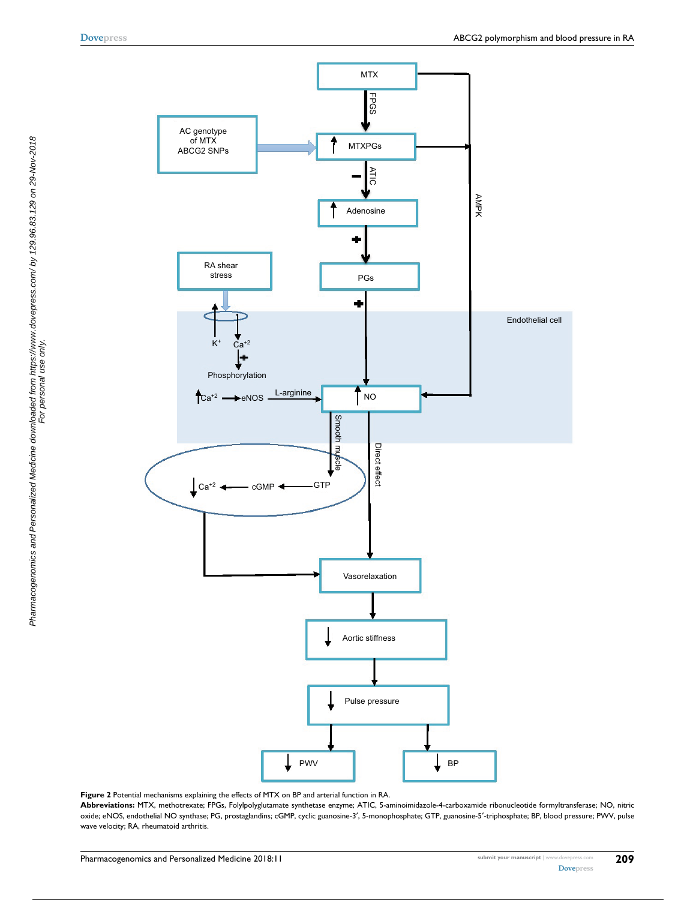

**Figure 2** Potential mechanisms explaining the effects of MTX on BP and arterial function in RA.

**Abbreviations:** MTX, methotrexate; FPGs, Folylpolyglutamate synthetase enzyme; ATIC, 5-aminoimidazole-4-carboxamide ribonucleotide formyltransferase; NO, nitric oxide; eNOS, endothelial NO synthase; PG, prostaglandins; cGMP, cyclic guanosine-3′, 5-monophosphate; GTP, guanosine-5′-triphosphate; BP, blood pressure; PWV, pulse wave velocity; RA, rheumatoid arthritis.